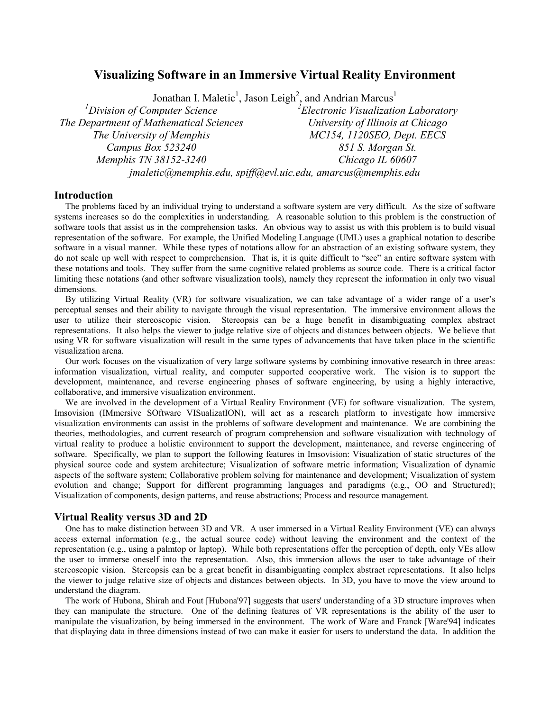# **Visualizing Software in an Immersive Virtual Reality Environment**

Jonathan I. Maletic<sup>1</sup>, Jason Leigh<sup>2</sup>, and Andrian Marcus<sup>1</sup> *1 Division of Computer Science <sup>2</sup> Electronic Visualization Laboratory The Department of Mathematical Sciences University of Illinois at Chicago The University of Memphis MC154, 1120SEO, Dept. EECS Campus Box 523240 851 S. Morgan St. Memphis TN 38152-3240 Chicago IL 60607 jmaletic@memphis.edu, spiff@evl.uic.edu, amarcus@memphis.edu*

#### **Introduction**

The problems faced by an individual trying to understand a software system are very difficult. As the size of software systems increases so do the complexities in understanding. A reasonable solution to this problem is the construction of software tools that assist us in the comprehension tasks. An obvious way to assist us with this problem is to build visual representation of the software. For example, the Unified Modeling Language (UML) uses a graphical notation to describe software in a visual manner. While these types of notations allow for an abstraction of an existing software system, they do not scale up well with respect to comprehension. That is, it is quite difficult to "see" an entire software system with these notations and tools. They suffer from the same cognitive related problems as source code. There is a critical factor limiting these notations (and other software visualization tools), namely they represent the information in only two visual dimensions.

By utilizing Virtual Reality (VR) for software visualization, we can take advantage of a wider range of a user's perceptual senses and their ability to navigate through the visual representation. The immersive environment allows the user to utilize their stereoscopic vision. Stereopsis can be a huge benefit in disambiguating complex abstract representations. It also helps the viewer to judge relative size of objects and distances between objects. We believe that using VR for software visualization will result in the same types of advancements that have taken place in the scientific visualization arena.

Our work focuses on the visualization of very large software systems by combining innovative research in three areas: information visualization, virtual reality, and computer supported cooperative work. The vision is to support the development, maintenance, and reverse engineering phases of software engineering, by using a highly interactive, collaborative, and immersive visualization environment.

We are involved in the development of a Virtual Reality Environment (VE) for software visualization. The system, Imsovision (IMmersive SOftware VISualizatION), will act as a research platform to investigate how immersive visualization environments can assist in the problems of software development and maintenance. We are combining the theories, methodologies, and current research of program comprehension and software visualization with technology of virtual reality to produce a holistic environment to support the development, maintenance, and reverse engineering of software. Specifically, we plan to support the following features in Imsovision: Visualization of static structures of the physical source code and system architecture; Visualization of software metric information; Visualization of dynamic aspects of the software system; Collaborative problem solving for maintenance and development; Visualization of system evolution and change; Support for different programming languages and paradigms (e.g., OO and Structured); Visualization of components, design patterns, and reuse abstractions; Process and resource management.

### **Virtual Reality versus 3D and 2D**

One has to make distinction between 3D and VR. A user immersed in a Virtual Reality Environment (VE) can always access external information (e.g., the actual source code) without leaving the environment and the context of the representation (e.g., using a palmtop or laptop). While both representations offer the perception of depth, only VEs allow the user to immerse oneself into the representation. Also, this immersion allows the user to take advantage of their stereoscopic vision. Stereopsis can be a great benefit in disambiguating complex abstract representations. It also helps the viewer to judge relative size of objects and distances between objects. In 3D, you have to move the view around to understand the diagram.

The work of Hubona, Shirah and Fout [Hubona'97] suggests that users' understanding of a 3D structure improves when they can manipulate the structure. One of the defining features of VR representations is the ability of the user to manipulate the visualization, by being immersed in the environment. The work of Ware and Franck [Ware'94] indicates that displaying data in three dimensions instead of two can make it easier for users to understand the data. In addition the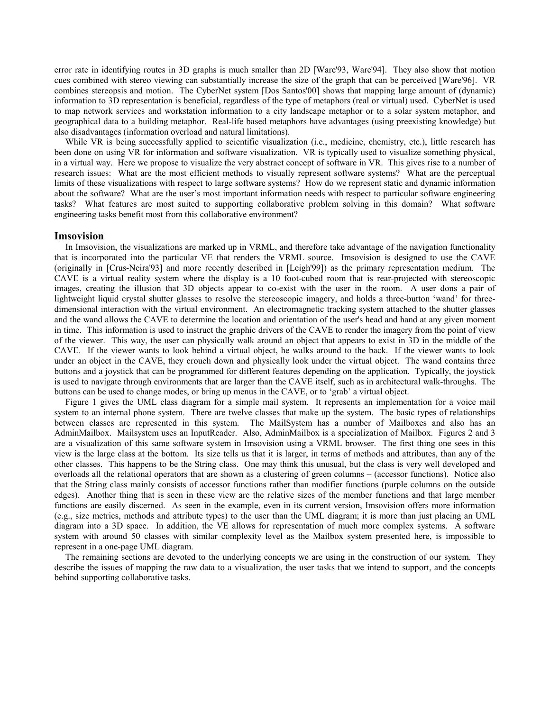error rate in identifying routes in 3D graphs is much smaller than 2D [Ware'93, Ware'94]. They also show that motion cues combined with stereo viewing can substantially increase the size of the graph that can be perceived [Ware'96]. VR combines stereopsis and motion. The CyberNet system [Dos Santos'00] shows that mapping large amount of (dynamic) information to 3D representation is beneficial, regardless of the type of metaphors (real or virtual) used. CyberNet is used to map network services and workstation information to a city landscape metaphor or to a solar system metaphor, and geographical data to a building metaphor. Real-life based metaphors have advantages (using preexisting knowledge) but also disadvantages (information overload and natural limitations).

While VR is being successfully applied to scientific visualization (i.e., medicine, chemistry, etc.), little research has been done on using VR for information and software visualization. VR is typically used to visualize something physical, in a virtual way. Here we propose to visualize the very abstract concept of software in VR. This gives rise to a number of research issues: What are the most efficient methods to visually represent software systems? What are the perceptual limits of these visualizations with respect to large software systems? How do we represent static and dynamic information about the software? What are the user's most important information needs with respect to particular software engineering tasks? What features are most suited to supporting collaborative problem solving in this domain? What software engineering tasks benefit most from this collaborative environment?

## **Imsovision**

In Imsovision, the visualizations are marked up in VRML, and therefore take advantage of the navigation functionality that is incorporated into the particular VE that renders the VRML source. Imsovision is designed to use the CAVE (originally in [Crus-Neira'93] and more recently described in [Leigh'99]) as the primary representation medium. The CAVE is a virtual reality system where the display is a 10 foot-cubed room that is rear-projected with stereoscopic images, creating the illusion that 3D objects appear to co-exist with the user in the room. A user dons a pair of lightweight liquid crystal shutter glasses to resolve the stereoscopic imagery, and holds a three-button 'wand' for threedimensional interaction with the virtual environment. An electromagnetic tracking system attached to the shutter glasses and the wand allows the CAVE to determine the location and orientation of the user's head and hand at any given moment in time. This information is used to instruct the graphic drivers of the CAVE to render the imagery from the point of view of the viewer. This way, the user can physically walk around an object that appears to exist in 3D in the middle of the CAVE. If the viewer wants to look behind a virtual object, he walks around to the back. If the viewer wants to look under an object in the CAVE, they crouch down and physically look under the virtual object. The wand contains three buttons and a joystick that can be programmed for different features depending on the application. Typically, the joystick is used to navigate through environments that are larger than the CAVE itself, such as in architectural walk-throughs. The buttons can be used to change modes, or bring up menus in the CAVE, or to 'grab' a virtual object.

Figure 1 gives the UML class diagram for a simple mail system. It represents an implementation for a voice mail system to an internal phone system. There are twelve classes that make up the system. The basic types of relationships between classes are represented in this system. The MailSystem has a number of Mailboxes and also has an AdminMailbox. Mailsystem uses an InputReader. Also, AdminMailbox is a specialization of Mailbox. Figures 2 and 3 are a visualization of this same software system in Imsovision using a VRML browser. The first thing one sees in this view is the large class at the bottom. Its size tells us that it is larger, in terms of methods and attributes, than any of the other classes. This happens to be the String class. One may think this unusual, but the class is very well developed and overloads all the relational operators that are shown as a clustering of green columns – (accessor functions). Notice also that the String class mainly consists of accessor functions rather than modifier functions (purple columns on the outside edges). Another thing that is seen in these view are the relative sizes of the member functions and that large member functions are easily discerned. As seen in the example, even in its current version, Imsovision offers more information (e.g., size metrics, methods and attribute types) to the user than the UML diagram; it is more than just placing an UML diagram into a 3D space. In addition, the VE allows for representation of much more complex systems. A software system with around 50 classes with similar complexity level as the Mailbox system presented here, is impossible to represent in a one-page UML diagram.

The remaining sections are devoted to the underlying concepts we are using in the construction of our system. They describe the issues of mapping the raw data to a visualization, the user tasks that we intend to support, and the concepts behind supporting collaborative tasks.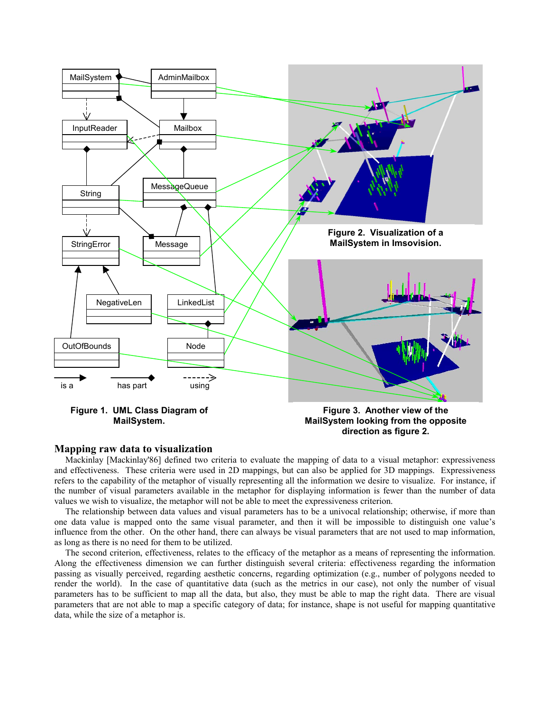

#### **Mapping raw data to visualization**

Mackinlay [Mackinlay'86] defined two criteria to evaluate the mapping of data to a visual metaphor: expressiveness and effectiveness. These criteria were used in 2D mappings, but can also be applied for 3D mappings. Expressiveness refers to the capability of the metaphor of visually representing all the information we desire to visualize. For instance, if the number of visual parameters available in the metaphor for displaying information is fewer than the number of data values we wish to visualize, the metaphor will not be able to meet the expressiveness criterion.

The relationship between data values and visual parameters has to be a univocal relationship; otherwise, if more than one data value is mapped onto the same visual parameter, and then it will be impossible to distinguish one value's influence from the other. On the other hand, there can always be visual parameters that are not used to map information, as long as there is no need for them to be utilized.

The second criterion, effectiveness, relates to the efficacy of the metaphor as a means of representing the information. Along the effectiveness dimension we can further distinguish several criteria: effectiveness regarding the information passing as visually perceived, regarding aesthetic concerns, regarding optimization (e.g., number of polygons needed to render the world). In the case of quantitative data (such as the metrics in our case), not only the number of visual parameters has to be sufficient to map all the data, but also, they must be able to map the right data. There are visual parameters that are not able to map a specific category of data; for instance, shape is not useful for mapping quantitative data, while the size of a metaphor is.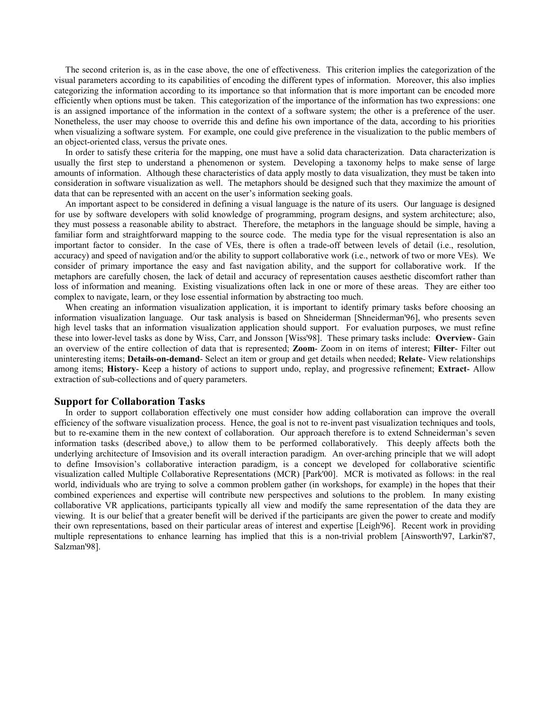The second criterion is, as in the case above, the one of effectiveness. This criterion implies the categorization of the visual parameters according to its capabilities of encoding the different types of information. Moreover, this also implies categorizing the information according to its importance so that information that is more important can be encoded more efficiently when options must be taken. This categorization of the importance of the information has two expressions: one is an assigned importance of the information in the context of a software system; the other is a preference of the user. Nonetheless, the user may choose to override this and define his own importance of the data, according to his priorities when visualizing a software system. For example, one could give preference in the visualization to the public members of an object-oriented class, versus the private ones.

In order to satisfy these criteria for the mapping, one must have a solid data characterization. Data characterization is usually the first step to understand a phenomenon or system. Developing a taxonomy helps to make sense of large amounts of information. Although these characteristics of data apply mostly to data visualization, they must be taken into consideration in software visualization as well. The metaphors should be designed such that they maximize the amount of data that can be represented with an accent on the user's information seeking goals.

An important aspect to be considered in defining a visual language is the nature of its users. Our language is designed for use by software developers with solid knowledge of programming, program designs, and system architecture; also, they must possess a reasonable ability to abstract. Therefore, the metaphors in the language should be simple, having a familiar form and straightforward mapping to the source code. The media type for the visual representation is also an important factor to consider. In the case of VEs, there is often a trade-off between levels of detail (i.e., resolution, accuracy) and speed of navigation and/or the ability to support collaborative work (i.e., network of two or more VEs). We consider of primary importance the easy and fast navigation ability, and the support for collaborative work. If the metaphors are carefully chosen, the lack of detail and accuracy of representation causes aesthetic discomfort rather than loss of information and meaning. Existing visualizations often lack in one or more of these areas. They are either too complex to navigate, learn, or they lose essential information by abstracting too much.

When creating an information visualization application, it is important to identify primary tasks before choosing an information visualization language. Our task analysis is based on Shneiderman [Shneiderman'96], who presents seven high level tasks that an information visualization application should support. For evaluation purposes, we must refine these into lower-level tasks as done by Wiss, Carr, and Jonsson [Wiss'98]. These primary tasks include: **Overview**- Gain an overview of the entire collection of data that is represented; **Zoom**- Zoom in on items of interest; **Filter**- Filter out uninteresting items; **Details-on-demand**- Select an item or group and get details when needed; **Relate**- View relationships among items; **History**- Keep a history of actions to support undo, replay, and progressive refinement; **Extract**- Allow extraction of sub-collections and of query parameters.

#### **Support for Collaboration Tasks**

In order to support collaboration effectively one must consider how adding collaboration can improve the overall efficiency of the software visualization process. Hence, the goal is not to re-invent past visualization techniques and tools, but to re-examine them in the new context of collaboration. Our approach therefore is to extend Schneiderman's seven information tasks (described above,) to allow them to be performed collaboratively. This deeply affects both the underlying architecture of Imsovision and its overall interaction paradigm. An over-arching principle that we will adopt to define Imsovision's collaborative interaction paradigm, is a concept we developed for collaborative scientific visualization called Multiple Collaborative Representations (MCR) [Park'00]. MCR is motivated as follows: in the real world, individuals who are trying to solve a common problem gather (in workshops, for example) in the hopes that their combined experiences and expertise will contribute new perspectives and solutions to the problem. In many existing collaborative VR applications, participants typically all view and modify the same representation of the data they are viewing. It is our belief that a greater benefit will be derived if the participants are given the power to create and modify their own representations, based on their particular areas of interest and expertise [Leigh'96]. Recent work in providing multiple representations to enhance learning has implied that this is a non-trivial problem [Ainsworth'97, Larkin'87, Salzman'98].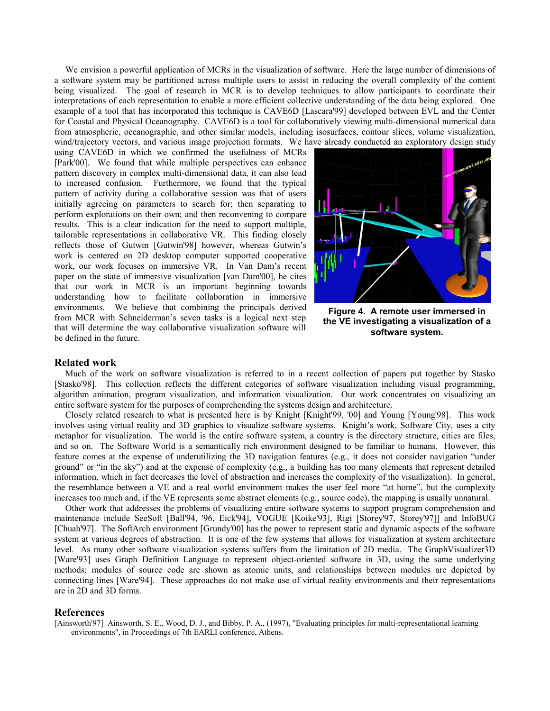We envision a powerful application of MCRs in the visualization of software. Here the large number of dimensions of a software system may be partitioned across multiple users to assist in reducing the overall complexity of the content being visualized. The goal of research in MCR is to develop techniques to allow participants to coordinate their interpretations of each representation to enable a more efficient collective understanding of the data being explored. One example of a tool that has incorporated this technique is CAVE6D [Lascara'99] developed between EVL and the Center for Coastal and Physical Oceanography. CAVE6D is a tool for collaboratively viewing multi-dimensional numerical data from atmospheric, oceanographic, and other similar models, including isosurfaces, contour slices, volume visualization, wind/trajectory vectors, and various image projection formats. We have already conducted an exploratory design study

using CAVE6D in which we confirmed the usefulness of MCRs [Park'00]. We found that while multiple perspectives can enhance pattern discovery in complex multi-dimensional data, it can also lead to increased confusion. Furthermore, we found that the typical pattern of activity during a collaborative session was that of users initially agreeing on parameters to search for; then separating to perform explorations on their own; and then reconvening to compare results. This is a clear indication for the need to support multiple, tailorable representations in collaborative VR. This finding closely reflects those of Gutwin [Gutwin'98] however, whereas Gutwin's work is centered on 2D desktop computer supported cooperative work, our work focuses on immersive VR. In Van Dam's recent paper on the state of immersive visualization [van Dam'00], he cites that our work in MCR is an important beginning towards understanding how to facilitate collaboration in immersive environments. We believe that combining the principals derived from MCR with Schneiderman's seven tasks is a logical next step that will determine the way collaborative visualization software will be defined in the future.



**Figure 4. A remote user immersed in the VE investigating a visualization of a software system.** 

#### **Related work**

Much of the work on software visualization is referred to in a recent collection of papers put together by Stasko [Stasko'98]. This collection reflects the different categories of software visualization including visual programming, algorithm animation, program visualization, and information visualization. Our work concentrates on visualizing an entire software system for the purposes of comprehending the systems design and architecture.

Closely related research to what is presented here is by Knight [Knight'99, '00] and Young [Young'98]. This work involves using virtual reality and 3D graphics to visualize software systems. Knight's work, Software City, uses a city metaphor for visualization. The world is the entire software system, a country is the directory structure, cities are files, and so on. The Software World is a semantically rich environment designed to be familiar to humans. However, this feature comes at the expense of underutilizing the 3D navigation features (e.g., it does not consider navigation "under ground" or "in the sky") and at the expense of complexity (e.g., a building has too many elements that represent detailed information, which in fact decreases the level of abstraction and increases the complexity of the visualization). In general, the resemblance between a VE and a real world environment makes the user feel more "at home", but the complexity increases too much and, if the VE represents some abstract elements (e.g., source code), the mapping is usually unnatural.

Other work that addresses the problems of visualizing entire software systems to support program comprehension and maintenance include SeeSoft [Ball'94, '96, Eick'94], VOGUE [Koike'93], Rigi [Storey'97, Storey'97]] and InfoBUG [Chuah'97]. The SoftArch environment [Grundy'00] has the power to represent static and dynamic aspects of the software system at various degrees of abstraction. It is one of the few systems that allows for visualization at system architecture level. As many other software visualization systems suffers from the limitation of 2D media. The GraphVisualizer3D [Ware'93] uses Graph Definition Language to represent object-oriented software in 3D, using the same underlying methods: modules of source code are shown as atomic units, and relationships between modules are depicted by connecting lines [Ware'94]. These approaches do not make use of virtual reality environments and their representations are in 2D and 3D forms.

# **References**

[Ainsworth'97] Ainsworth, S. E., Wood, D. J., and Bibby, P. A., (1997), "Evaluating principles for multi-representational learning environments", in Proceedings of 7th EARLI conference, Athens.